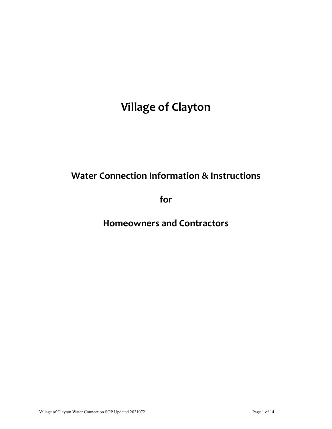# **Village of Clayton**

# **Water Connection Information & Instructions**

**for**

**Homeowners and Contractors**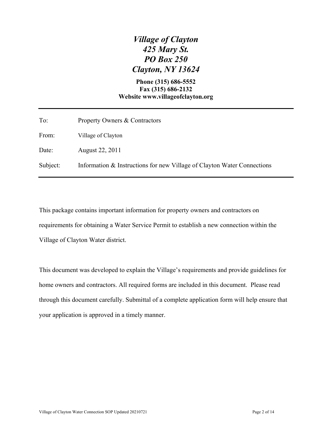# *Village of Clayton 425 Mary St. PO Box 250 Clayton, NY 13624*

#### **Phone (315) 686-5552 Fax (315) 686-2132 Website www.villageofclayton.org**

| To:      | Property Owners & Contractors                                           |
|----------|-------------------------------------------------------------------------|
| From:    | Village of Clayton                                                      |
| Date:    | August 22, 2011                                                         |
| Subject: | Information & Instructions for new Village of Clayton Water Connections |

This package contains important information for property owners and contractors on requirements for obtaining a Water Service Permit to establish a new connection within the Village of Clayton Water district.

This document was developed to explain the Village's requirements and provide guidelines for home owners and contractors. All required forms are included in this document. Please read through this document carefully. Submittal of a complete application form will help ensure that your application is approved in a timely manner.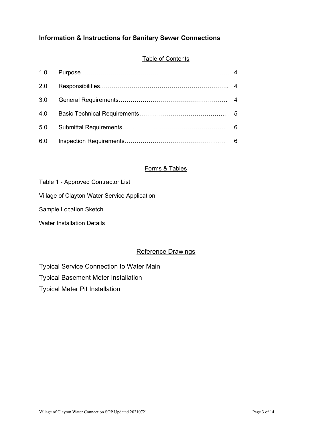### **Information & Instructions for Sanitary Sewer Connections**

#### Table of Contents

| 1.0 |  |
|-----|--|
| 2.0 |  |
| 3.0 |  |
| 4.0 |  |
| 5.0 |  |
| 6.0 |  |

#### Forms & Tables

| Table 1 - Approved Contractor List |  |
|------------------------------------|--|
|------------------------------------|--|

Village of Clayton Water Service Application

Sample Location Sketch

Water Installation Details

#### Reference Drawings

Typical Service Connection to Water Main

Typical Basement Meter Installation

Typical Meter Pit Installation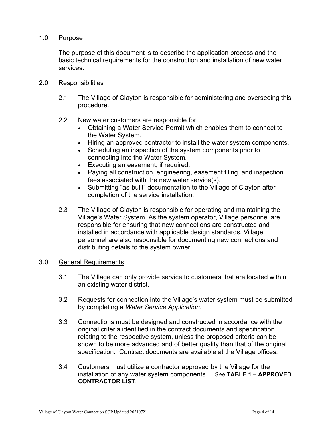#### 1.0 Purpose

The purpose of this document is to describe the application process and the basic technical requirements for the construction and installation of new water services.

#### 2.0 Responsibilities

2.1 The Village of Clayton is responsible for administering and overseeing this procedure.

#### 2.2 New water customers are responsible for:

- Obtaining a Water Service Permit which enables them to connect to the Water System.
- Hiring an approved contractor to install the water system components.
- Scheduling an inspection of the system components prior to connecting into the Water System.
- Executing an easement, if required.
- Paying all construction, engineering, easement filing, and inspection fees associated with the new water service(s).
- Submitting "as-built" documentation to the Village of Clayton after completion of the service installation.
- 2.3 The Village of Clayton is responsible for operating and maintaining the Village's Water System. As the system operator, Village personnel are responsible for ensuring that new connections are constructed and installed in accordance with applicable design standards. Village personnel are also responsible for documenting new connections and distributing details to the system owner.

#### 3.0 General Requirements

- 3.1 The Village can only provide service to customers that are located within an existing water district.
- 3.2 Requests for connection into the Village's water system must be submitted by completing a *Water Service Application*.
- 3.3 Connections must be designed and constructed in accordance with the original criteria identified in the contract documents and specification relating to the respective system, unless the proposed criteria can be shown to be more advanced and of better quality than that of the original specification. Contract documents are available at the Village offices.
- 3.4 Customers must utilize a contractor approved by the Village for the installation of any water system components. *See* **TABLE 1 – APPROVED CONTRACTOR LIST**.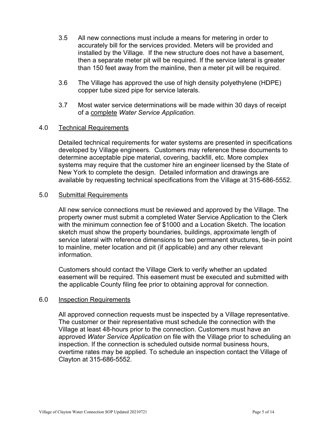- 3.5 All new connections must include a means for metering in order to accurately bill for the services provided. Meters will be provided and installed by the Village. If the new structure does not have a basement, then a separate meter pit will be required. If the service lateral is greater than 150 feet away from the mainline, then a meter pit will be required.
- 3.6 The Village has approved the use of high density polyethylene (HDPE) copper tube sized pipe for service laterals.
- 3.7 Most water service determinations will be made within 30 days of receipt of a complete *Water Service Application.*

#### 4.0 Technical Requirements

Detailed technical requirements for water systems are presented in specifications developed by Village engineers*.* Customers may reference these documents to determine acceptable pipe material, covering, backfill, etc. More complex systems may require that the customer hire an engineer licensed by the State of New York to complete the design. Detailed information and drawings are available by requesting technical specifications from the Village at 315-686-5552.

#### 5.0 Submittal Requirements

All new service connections must be reviewed and approved by the Village. The property owner must submit a completed Water Service Application to the Clerk with the minimum connection fee of \$1000 and a Location Sketch. The location sketch must show the property boundaries, buildings, approximate length of service lateral with reference dimensions to two permanent structures, tie-in point to mainline, meter location and pit (if applicable) and any other relevant information.

Customers should contact the Village Clerk to verify whether an updated easement will be required. This easement must be executed and submitted with the applicable County filing fee prior to obtaining approval for connection.

#### 6.0 Inspection Requirements

All approved connection requests must be inspected by a Village representative. The customer or their representative must schedule the connection with the Village at least 48-hours prior to the connection. Customers must have an approved *Water Service Application* on file with the Village prior to scheduling an inspection. If the connection is scheduled outside normal business hours, overtime rates may be applied. To schedule an inspection contact the Village of Clayton at 315-686-5552.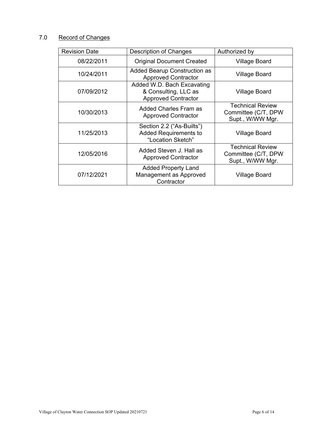## 7.0 Record of Changes

| <b>Revision Date</b> | <b>Description of Changes</b>                                                    | Authorized by                                                      |
|----------------------|----------------------------------------------------------------------------------|--------------------------------------------------------------------|
| 08/22/2011           | <b>Original Document Created</b>                                                 | Village Board                                                      |
| 10/24/2011           | Added Bearup Construction as<br><b>Approved Contractor</b>                       | Village Board                                                      |
| 07/09/2012           | Added W.D. Bach Excavating<br>& Consulting, LLC as<br><b>Approved Contractor</b> | Village Board                                                      |
| 10/30/2013           | Added Charles Fram as<br><b>Approved Contractor</b>                              | <b>Technical Review</b><br>Committee (C/T, DPW<br>Supt., W/WW Mgr. |
| 11/25/2013           | Section 2.2 ("As-Builts")<br><b>Added Requirements to</b><br>"Location Sketch"   | <b>Village Board</b>                                               |
| 12/05/2016           | Added Steven J. Hall as<br><b>Approved Contractor</b>                            | <b>Technical Review</b><br>Committee (C/T, DPW<br>Supt., W/WW Mgr. |
| 07/12/2021           | <b>Added Property Land</b><br>Management as Approved<br>Contractor               | Village Board                                                      |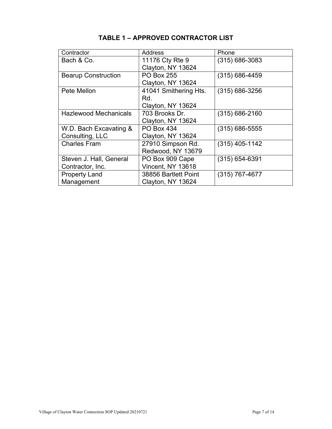| Contractor                   | Address               | Phone              |
|------------------------------|-----------------------|--------------------|
| Bach & Co.                   | 11176 Cty Rte 9       | $(315) 686 - 3083$ |
|                              | Clayton, NY 13624     |                    |
| <b>Bearup Construction</b>   | <b>PO Box 255</b>     | $(315) 686 - 4459$ |
|                              | Clayton, NY 13624     |                    |
| Pete Mellon                  | 41041 Smithering Hts. | $(315) 686 - 3256$ |
|                              | Rd.                   |                    |
|                              | Clayton, NY 13624     |                    |
| <b>Hazlewood Mechanicals</b> | 703 Brooks Dr.        | $(315) 686 - 2160$ |
|                              | Clayton, NY 13624     |                    |
| W.D. Bach Excavating &       | <b>PO Box 434</b>     | $(315)$ 686-5555   |
| Consulting, LLC              | Clayton, NY 13624     |                    |
| <b>Charles Fram</b>          | 27910 Simpson Rd.     | $(315)$ 405-1142   |
|                              | Redwood, NY 13679     |                    |
| Steven J. Hall, General      | PO Box 909 Cape       | $(315) 654 - 6391$ |
| Contractor, Inc.             | Vincent, NY 13618     |                    |
| <b>Property Land</b>         | 38856 Bartlett Point  | $(315)$ 767-4677   |
| Management                   | Clayton, NY 13624     |                    |

# **TABLE 1 – APPROVED CONTRACTOR LIST**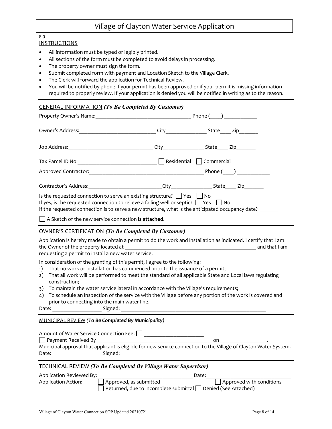## Village of Clayton Water Service Application

#### 8.0

#### **INSTRUCTIONS**

- All information must be typed or legibly printed.
- All sections of the form must be completed to avoid delays in processing.
- The property owner must sign the form.
- Submit completed form with payment and Location Sketch to the Village Clerk.
- The Clerk will forward the application for Technical Review.
- You will be notified by phone if your permit has been approved or if your permit is missing information required to properly review. If your application is denied you will be notified in writing as to the reason.

| <b>GENERAL INFORMATION (To Be Completed By Customer)</b>                                                                                                                                                                                                                              |  |                                                      |  |
|---------------------------------------------------------------------------------------------------------------------------------------------------------------------------------------------------------------------------------------------------------------------------------------|--|------------------------------------------------------|--|
|                                                                                                                                                                                                                                                                                       |  | Phone( )                                             |  |
|                                                                                                                                                                                                                                                                                       |  | City______________________State_______ Zip__________ |  |
|                                                                                                                                                                                                                                                                                       |  | City State Zip                                       |  |
|                                                                                                                                                                                                                                                                                       |  |                                                      |  |
| Phone ( )                                                                                                                                                                                                                                                                             |  |                                                      |  |
| Contractor's Address: The Contractor's Address:                                                                                                                                                                                                                                       |  | City State Zip                                       |  |
| Is the requested connection to serve an existing structure? $\Box$ Yes $\Box$ No<br>If yes, is the requested connection to relieve a failing well or septic? $\Box$ Yes $\Box$ No<br>If the requested connection is to serve a new structure, what is the anticipated occupancy date? |  |                                                      |  |

A Sketch of the new service connection **is attached**.

#### OWNER'S CERTIFICATION *(To Be Completed By Customer)*

Application is hereby made to obtain a permit to do the work and installation as indicated. I certify that I am the Owner of the property located at  $\Box$ 

requesting a permit to install a new water service.

In consideration of the granting of this permit, I agree to the following:

- 1) That no work or installation has commenced prior to the issuance of a permit;
- 2) That all work will be performed to meet the standard of all applicable State and Local laws regulating construction;
- 3) To maintain the water service lateral in accordance with the Village's requirements;
- 4) To schedule an inspection of the service with the Village before any portion of the work is covered and prior to connecting into the main water line.

Date: \_\_\_\_\_\_\_\_\_\_\_\_\_\_\_\_\_\_ Signed: \_\_\_\_\_\_\_\_\_\_\_\_\_\_\_\_\_\_\_\_\_\_\_\_\_\_\_\_\_\_\_\_\_\_\_\_\_\_\_\_\_\_\_\_\_\_\_\_\_\_\_\_\_

#### MUNICIPAL REVIEW *(To Be Completed By Municipality)*

| Amount of Water Service Connection Fee: |                                                                                                                  |    |  |
|-----------------------------------------|------------------------------------------------------------------------------------------------------------------|----|--|
| $\Box$ Payment Received By              |                                                                                                                  | on |  |
|                                         | Municipal approval that applicant is eligible for new service connection to the Village of Clayton Water System. |    |  |
| Date:                                   | Signed:                                                                                                          |    |  |
|                                         |                                                                                                                  |    |  |

#### TECHNICAL REVIEW *(To Be Completed By Village Water Supervisor)*

| Application Reviewed By: |                                                                           | Date: |                          |
|--------------------------|---------------------------------------------------------------------------|-------|--------------------------|
| Application Action:      | Approved, as submitted                                                    |       | Approved with conditions |
|                          | $\Box$ Returned, due to incomplete submittal $\Box$ Denied (See Attached) |       |                          |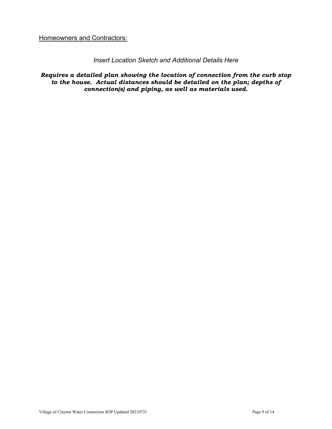**Homeowners and Contractors:** 

#### *Insert Location Sketch and Additional Details Here*

*Requires a detailed plan showing the location of connection from the curb stop to the house. Actual distances should be detailed on the plan; depths of connection(s) and piping, as well as materials used.*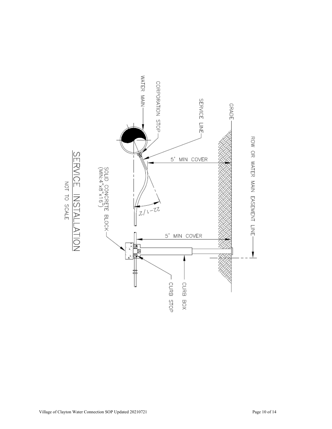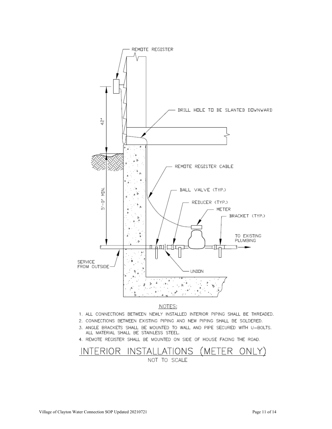

- 1. ALL CONNECTIONS BETWEEN NEWLY INSTALLED INTERIOR PIPING SHALL BE THREADED.
- 2. CONNECTIONS BETWEEN EXISTING PIPING AND NEW PIPING SHALL BE SOLDERED.
- 3. ANGLE BRACKETS SHALL BE MOUNTED TO WALL AND PIPE SECURED WITH U-BOLTS. ALL MATERIAL SHALL BE STAINLESS STEEL.
- 
- 4. REMOTE REGISTER SHALL BE MOUNTED ON SIDE OF HOUSE FACING THE ROAD.
- INTERIOR INSTALLATIONS (METER ONLY)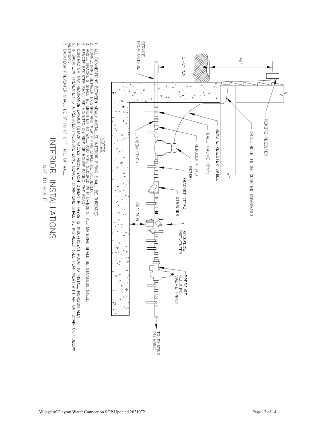

BE STAINLESS STEEL.

1, ALL CONNECTIONS BETWEEN NEWLY MSTALLED INTERIOR PIPING SHALL BE THREADED.<br>2, CONNECTIONS BETWEEN EXENDIO AND NEW PIPING SHAL BE SOLDERED.<br>4, REMOTE REGISTER SHALL BE MOUNTED ON SIDE OF HOUSE FACING THE ROAD.<br>5, CONTRACT CONTRACTOR MAY REANGE LAYOUT (STACK VALVES ABOVE EACH OTHER) IF THERE IS INSUFFICIENT ROOM TO INSTALL HORIZONTALY.<br>If backflow preventer is a reduced pressure zone and a stall be installed (see plan view) with air gap drai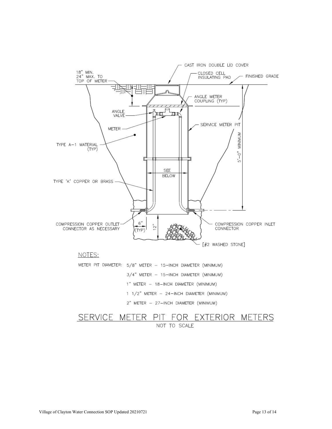

1 1/2" METER - 24-INCH DIAMETER (MINIMUM)

2" METER - 27-INCH DIAMETER (MINIMUM)

# SERVICE METER PIT FOR EXTERIOR METERS